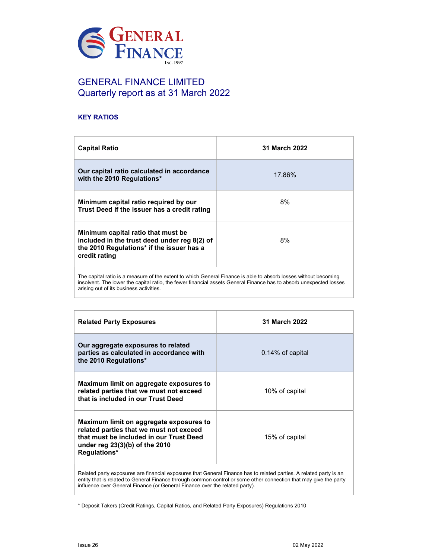

# GENERAL FINANCE LIMITED Quarterly report as at 31 March 2022

## KEY RATIOS

| <b>Capital Ratio</b>                                                                                                                                                                                                                  | <b>31 March 2022</b> |  |
|---------------------------------------------------------------------------------------------------------------------------------------------------------------------------------------------------------------------------------------|----------------------|--|
| Our capital ratio calculated in accordance<br>with the 2010 Regulations*                                                                                                                                                              | 17.86%               |  |
| Minimum capital ratio required by our<br>Trust Deed if the issuer has a credit rating                                                                                                                                                 | 8%                   |  |
| Minimum capital ratio that must be<br>8%<br>included in the trust deed under reg 8(2) of<br>the 2010 Regulations* if the issuer has a<br>credit rating                                                                                |                      |  |
| The capital ratio is a measure of the extent to which General Finance is able to absorb losses without becoming<br>insolvent. The lower the capital ratio, the fewer financial assets General Finance has to absorb unexpected losses |                      |  |

arising out of its business activities.

| <b>Related Party Exposures</b>                                                                                                                                                    | 31 March 2022       |  |
|-----------------------------------------------------------------------------------------------------------------------------------------------------------------------------------|---------------------|--|
| Our aggregate exposures to related<br>parties as calculated in accordance with<br>the 2010 Regulations*                                                                           | $0.14\%$ of capital |  |
| Maximum limit on aggregate exposures to<br>related parties that we must not exceed<br>that is included in our Trust Deed                                                          | 10% of capital      |  |
| Maximum limit on aggregate exposures to<br>related parties that we must not exceed<br>that must be included in our Trust Deed<br>under reg $23(3)(b)$ of the 2010<br>Regulations* | 15% of capital      |  |
|                                                                                                                                                                                   |                     |  |

Related party exposures are financial exposures that General Finance has to related parties. A related party is an entity that is related to General Finance through common control or some other connection that may give the party influence over General Finance (or General Finance over the related party).

\* Deposit Takers (Credit Ratings, Capital Ratios, and Related Party Exposures) Regulations 2010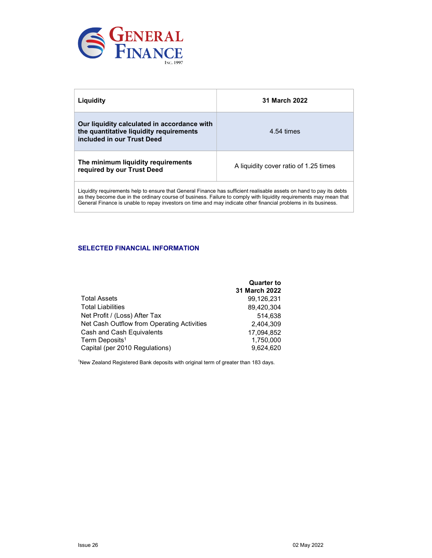

| Liquidity                                                                                                                                                                                                                                                                                                                                                     | 31 March 2022                         |
|---------------------------------------------------------------------------------------------------------------------------------------------------------------------------------------------------------------------------------------------------------------------------------------------------------------------------------------------------------------|---------------------------------------|
| Our liquidity calculated in accordance with<br>the quantitative liquidity requirements<br>included in our Trust Deed                                                                                                                                                                                                                                          | 4.54 times                            |
| The minimum liquidity requirements<br>required by our Trust Deed                                                                                                                                                                                                                                                                                              | A liquidity cover ratio of 1.25 times |
| Liquidity requirements help to ensure that General Finance has sufficient realisable assets on hand to pay its debts<br>as they become due in the ordinary course of business. Failure to comply with liquidity requirements may mean that<br>General Finance is unable to repay investors on time and may indicate other financial problems in its business. |                                       |

## SELECTED FINANCIAL INFORMATION

|                                            | <b>Quarter to</b> |
|--------------------------------------------|-------------------|
|                                            | 31 March 2022     |
| <b>Total Assets</b>                        | 99.126.231        |
| <b>Total Liabilities</b>                   | 89.420.304        |
| Net Profit / (Loss) After Tax              | 514.638           |
| Net Cash Outflow from Operating Activities | 2.404.309         |
| Cash and Cash Equivalents                  | 17,094,852        |
| Term Deposits <sup>1</sup>                 | 1,750,000         |
| Capital (per 2010 Regulations)             | 9.624.620         |

<sup>1</sup>New Zealand Registered Bank deposits with original term of greater than 183 days.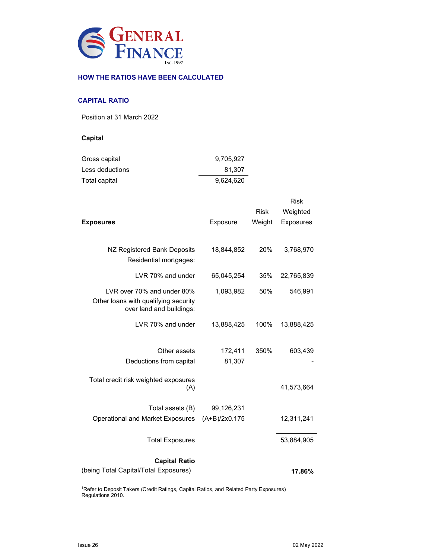

## HOW THE RATIOS HAVE BEEN CALCULATED

#### CAPITAL RATIO

Position at 31 March 2022

## Capital

| Gross capital   | 9.705.927 |
|-----------------|-----------|
| Less deductions | 81.307    |
| Total capital   | 9,624,620 |

| <b>Exposures</b>                                                                               | Exposure                    | <b>Risk</b><br>Weight | <b>Risk</b><br>Weighted<br><b>Exposures</b> |
|------------------------------------------------------------------------------------------------|-----------------------------|-----------------------|---------------------------------------------|
| NZ Registered Bank Deposits<br>Residential mortgages:                                          | 18,844,852                  | 20%                   | 3,768,970                                   |
| LVR 70% and under                                                                              | 65,045,254                  | 35%                   | 22,765,839                                  |
| LVR over 70% and under 80%<br>Other loans with qualifying security<br>over land and buildings: | 1,093,982                   | 50%                   | 546,991                                     |
| LVR 70% and under                                                                              | 13,888,425                  | 100%                  | 13,888,425                                  |
| Other assets<br>Deductions from capital                                                        | 172,411<br>81,307           | 350%                  | 603,439                                     |
| Total credit risk weighted exposures<br>(A)                                                    |                             |                       | 41,573,664                                  |
| Total assets (B)<br><b>Operational and Market Exposures</b>                                    | 99,126,231<br>(A+B)/2x0.175 |                       | 12,311,241                                  |
| <b>Total Exposures</b>                                                                         |                             |                       | 53,884,905                                  |
| <b>Capital Ratio</b><br>(being Total Capital/Total Exposures)                                  |                             |                       | 17.86%                                      |

<sup>1</sup>Refer to Deposit Takers (Credit Ratings, Capital Ratios, and Related Party Exposures) Regulations 2010.